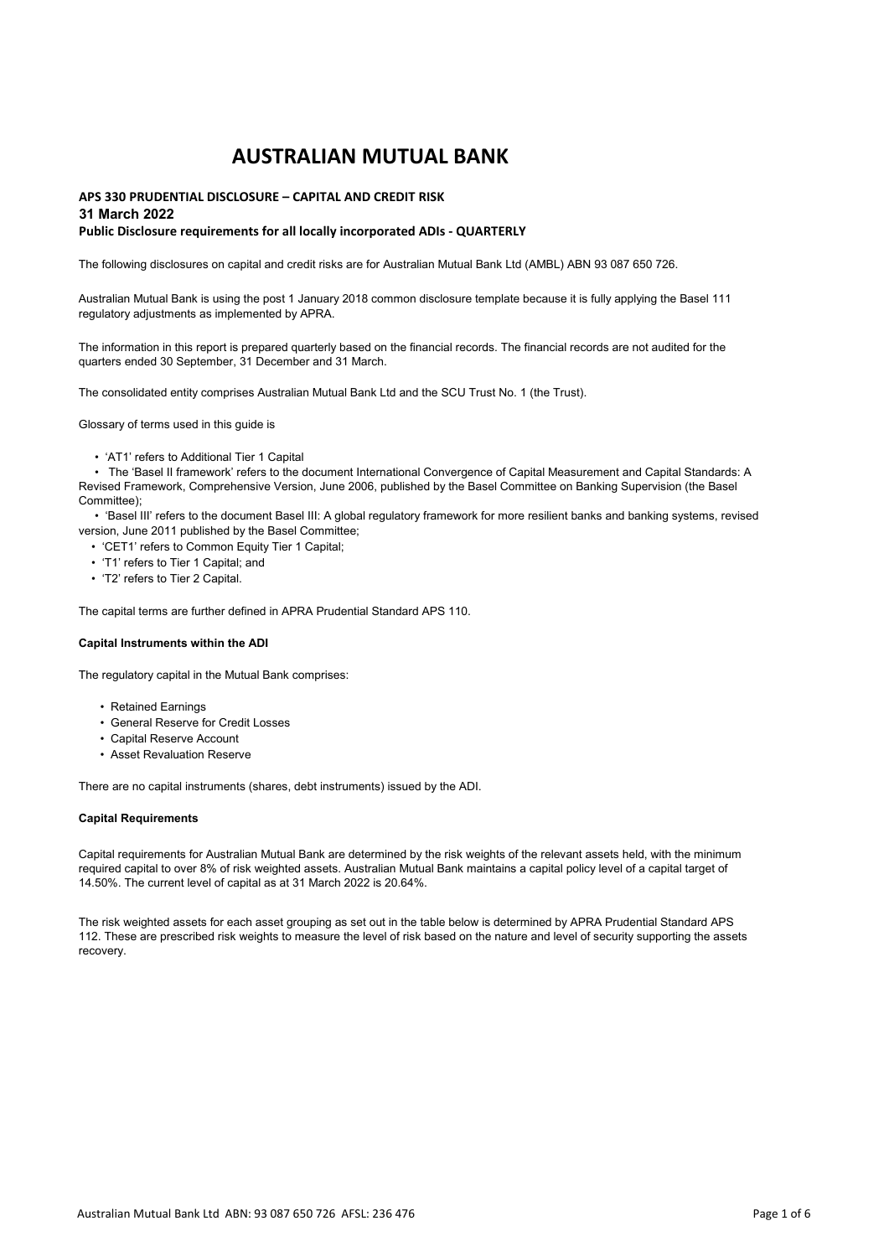# **APS 330 PRUDENTIAL DISCLOSURE – CAPITAL AND CREDIT RISK**

### **31 March 2022**

### **Public Disclosure requirements for all locally incorporated ADIs - QUARTERLY**

The following disclosures on capital and credit risks are for Australian Mutual Bank Ltd (AMBL) ABN 93 087 650 726.

Australian Mutual Bank is using the post 1 January 2018 common disclosure template because it is fully applying the Basel 111 regulatory adjustments as implemented by APRA.

The information in this report is prepared quarterly based on the financial records. The financial records are not audited for the quarters ended 30 September, 31 December and 31 March.

The consolidated entity comprises Australian Mutual Bank Ltd and the SCU Trust No. 1 (the Trust).

Glossary of terms used in this guide is

• 'AT1' refers to Additional Tier 1 Capital

 • The 'Basel II framework' refers to the document International Convergence of Capital Measurement and Capital Standards: A Revised Framework, Comprehensive Version, June 2006, published by the Basel Committee on Banking Supervision (the Basel Committee);

 • 'Basel III' refers to the document Basel III: A global regulatory framework for more resilient banks and banking systems, revised version, June 2011 published by the Basel Committee;

- 'CET1' refers to Common Equity Tier 1 Capital;
- 'T1' refers to Tier 1 Capital; and
- 'T2' refers to Tier 2 Capital.

The capital terms are further defined in APRA Prudential Standard APS 110.

#### **Capital Instruments within the ADI**

The regulatory capital in the Mutual Bank comprises:

- Retained Earnings
- General Reserve for Credit Losses
- Capital Reserve Account
- Asset Revaluation Reserve

There are no capital instruments (shares, debt instruments) issued by the ADI.

#### **Capital Requirements**

Capital requirements for Australian Mutual Bank are determined by the risk weights of the relevant assets held, with the minimum required capital to over 8% of risk weighted assets. Australian Mutual Bank maintains a capital policy level of a capital target of 14.50%. The current level of capital as at 31 March 2022 is 20.64%.

The risk weighted assets for each asset grouping as set out in the table below is determined by APRA Prudential Standard APS 112. These are prescribed risk weights to measure the level of risk based on the nature and level of security supporting the assets recovery.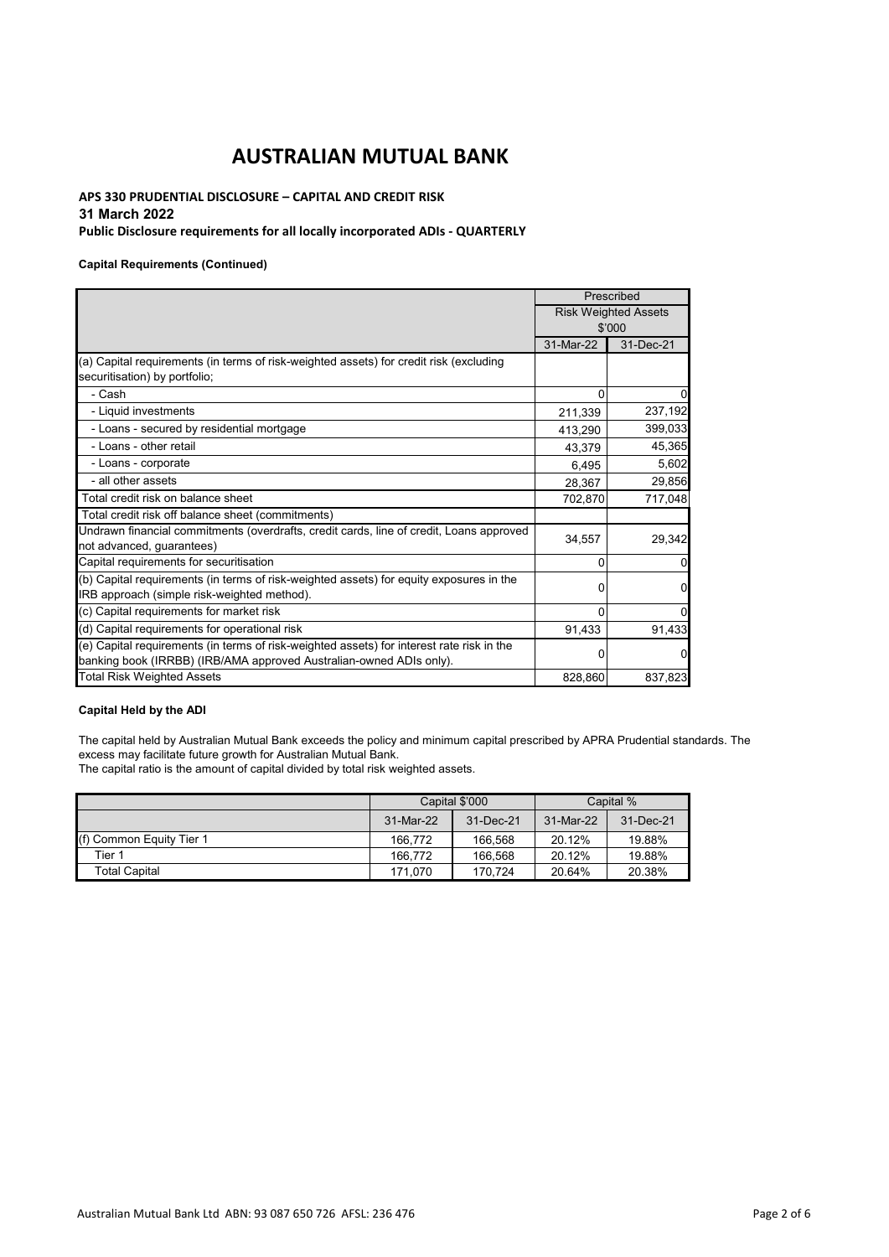# **APS 330 PRUDENTIAL DISCLOSURE – CAPITAL AND CREDIT RISK**

## **31 March 2022**

### **Public Disclosure requirements for all locally incorporated ADIs - QUARTERLY**

#### **Capital Requirements (Continued)**

|                                                                                                                                                                  |           | Prescribed                  |
|------------------------------------------------------------------------------------------------------------------------------------------------------------------|-----------|-----------------------------|
|                                                                                                                                                                  |           | <b>Risk Weighted Assets</b> |
|                                                                                                                                                                  |           | \$'000                      |
|                                                                                                                                                                  | 31-Mar-22 | 31-Dec-21                   |
| (a) Capital requirements (in terms of risk-weighted assets) for credit risk (excluding<br>securitisation) by portfolio;                                          |           |                             |
| - Cash                                                                                                                                                           | $\Omega$  |                             |
| - Liquid investments                                                                                                                                             | 211,339   | 237,192                     |
| - Loans - secured by residential mortgage                                                                                                                        | 413,290   | 399,033                     |
| - Loans - other retail                                                                                                                                           | 43,379    | 45,365                      |
| - Loans - corporate                                                                                                                                              | 6,495     | 5,602                       |
| - all other assets                                                                                                                                               | 28,367    | 29,856                      |
| Total credit risk on balance sheet                                                                                                                               | 702,870   | 717,048                     |
| Total credit risk off balance sheet (commitments)                                                                                                                |           |                             |
| Undrawn financial commitments (overdrafts, credit cards, line of credit, Loans approved<br>not advanced, guarantees)                                             | 34,557    | 29,342                      |
| Capital requirements for securitisation                                                                                                                          | 0         | $\Omega$                    |
| (b) Capital requirements (in terms of risk-weighted assets) for equity exposures in the<br>IRB approach (simple risk-weighted method).                           | 0         | 0                           |
| (c) Capital requirements for market risk                                                                                                                         | $\Omega$  |                             |
| (d) Capital requirements for operational risk                                                                                                                    | 91,433    | 91,433                      |
| (e) Capital requirements (in terms of risk-weighted assets) for interest rate risk in the<br>banking book (IRRBB) (IRB/AMA approved Australian-owned ADIs only). | ŋ         | 0                           |
| <b>Total Risk Weighted Assets</b>                                                                                                                                | 828,860   | 837,823                     |

### **Capital Held by the ADI**

The capital held by Australian Mutual Bank exceeds the policy and minimum capital prescribed by APRA Prudential standards. The excess may facilitate future growth for Australian Mutual Bank.

The capital ratio is the amount of capital divided by total risk weighted assets.

|                          |                        | Capital \$'000 |           | Capital % |
|--------------------------|------------------------|----------------|-----------|-----------|
|                          | 31-Dec-21<br>31-Mar-22 |                | 31-Mar-22 | 31-Dec-21 |
| (f) Common Equity Tier 1 | 166.772                | 166.568        | 20.12%    | 19.88%    |
| Tier 1                   | 166.772                | 166.568        | 20.12%    | 19.88%    |
| <b>Total Capital</b>     | 171.070                | 170.724        | 20.64%    | 20.38%    |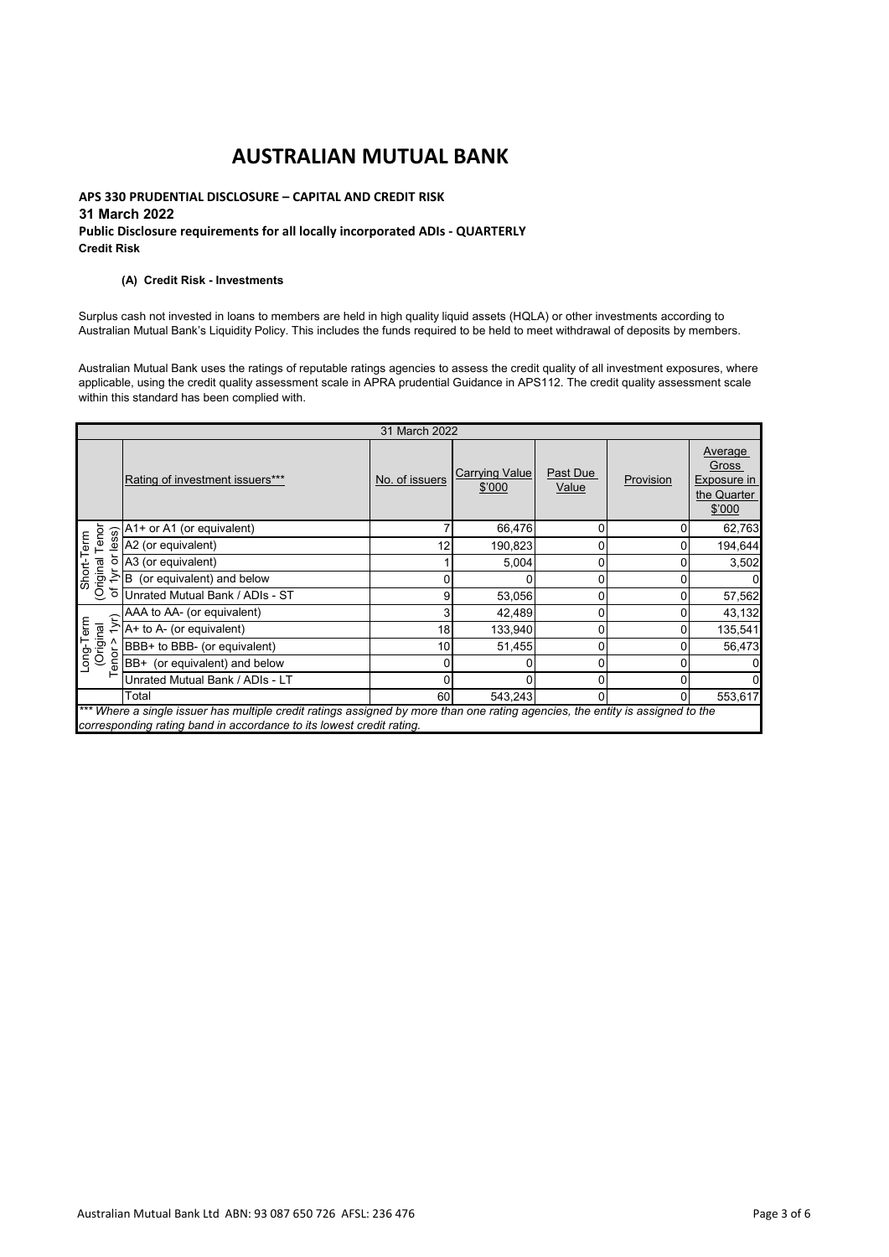### **APS 330 PRUDENTIAL DISCLOSURE – CAPITAL AND CREDIT RISK 31 March 2022 Public Disclosure requirements for all locally incorporated ADIs - QUARTERLY Credit Risk**

#### **(A) Credit Risk - Investments**

Surplus cash not invested in loans to members are held in high quality liquid assets (HQLA) or other investments according to Australian Mutual Bank's Liquidity Policy. This includes the funds required to be held to meet withdrawal of deposits by members.

Australian Mutual Bank uses the ratings of reputable ratings agencies to assess the credit quality of all investment exposures, where applicable, using the credit quality assessment scale in APRA prudential Guidance in APS112. The credit quality assessment scale within this standard has been complied with.

|                                        | 31 March 2022                                                                                                                                                                                          |                |                          |                   |           |                                                                   |
|----------------------------------------|--------------------------------------------------------------------------------------------------------------------------------------------------------------------------------------------------------|----------------|--------------------------|-------------------|-----------|-------------------------------------------------------------------|
|                                        | Rating of investment issuers***                                                                                                                                                                        | No. of issuers | Carrying Value<br>\$'000 | Past Due<br>Value | Provision | Average<br>Gross<br>Exposure in<br>the Quarter<br>$$^{\prime}000$ |
|                                        | A1+ or A1 (or equivalent)                                                                                                                                                                              | 7              | 66,476                   | 0                 | 0         | 62,763                                                            |
| Short-Term<br>(Original Tenor<br>ess)  | A2 (or equivalent)                                                                                                                                                                                     | 12             | 190,823                  |                   | 0         | 194,644                                                           |
| ১                                      | A3 (or equivalent)                                                                                                                                                                                     |                | 5,004                    | 0                 | 0         | 3,502                                                             |
| $\lambda$                              | B (or equivalent) and below                                                                                                                                                                            | 0              |                          | 0                 | 0         | $\Omega$                                                          |
| ᡃᡠ                                     | Unrated Mutual Bank / ADIs - ST                                                                                                                                                                        | 9              | 53,056                   | 0                 | 0         | 57,562                                                            |
|                                        | AAA to AA- (or equivalent)                                                                                                                                                                             | 3              | 42,489                   | 0                 | 0         | 43,132                                                            |
| 1yr)                                   | A+ to A- (or equivalent)                                                                                                                                                                               | 18             | 133,940                  |                   | 0         | 135,541                                                           |
| Long-Term<br>(Original<br>Tenor > 1yr) | BBB+ to BBB- (or equivalent)                                                                                                                                                                           | 10             | 51,455                   |                   | 0         | 56,473                                                            |
|                                        | BB+ (or equivalent) and below                                                                                                                                                                          | 0              |                          | 0                 | 0         | $\mathbf 0$                                                       |
|                                        | Unrated Mutual Bank / ADIs - LT                                                                                                                                                                        | $\Omega$       |                          | 0                 | 0         | $\mathbf 0$                                                       |
|                                        | Total                                                                                                                                                                                                  | 60 I           | 543.243                  | $\Omega$          | $\Omega$  | 553,617                                                           |
|                                        | *** Where a single issuer has multiple credit ratings assigned by more than one rating agencies, the entity is assigned to the<br>corresponding rating band in accordance to its lowest credit rating. |                |                          |                   |           |                                                                   |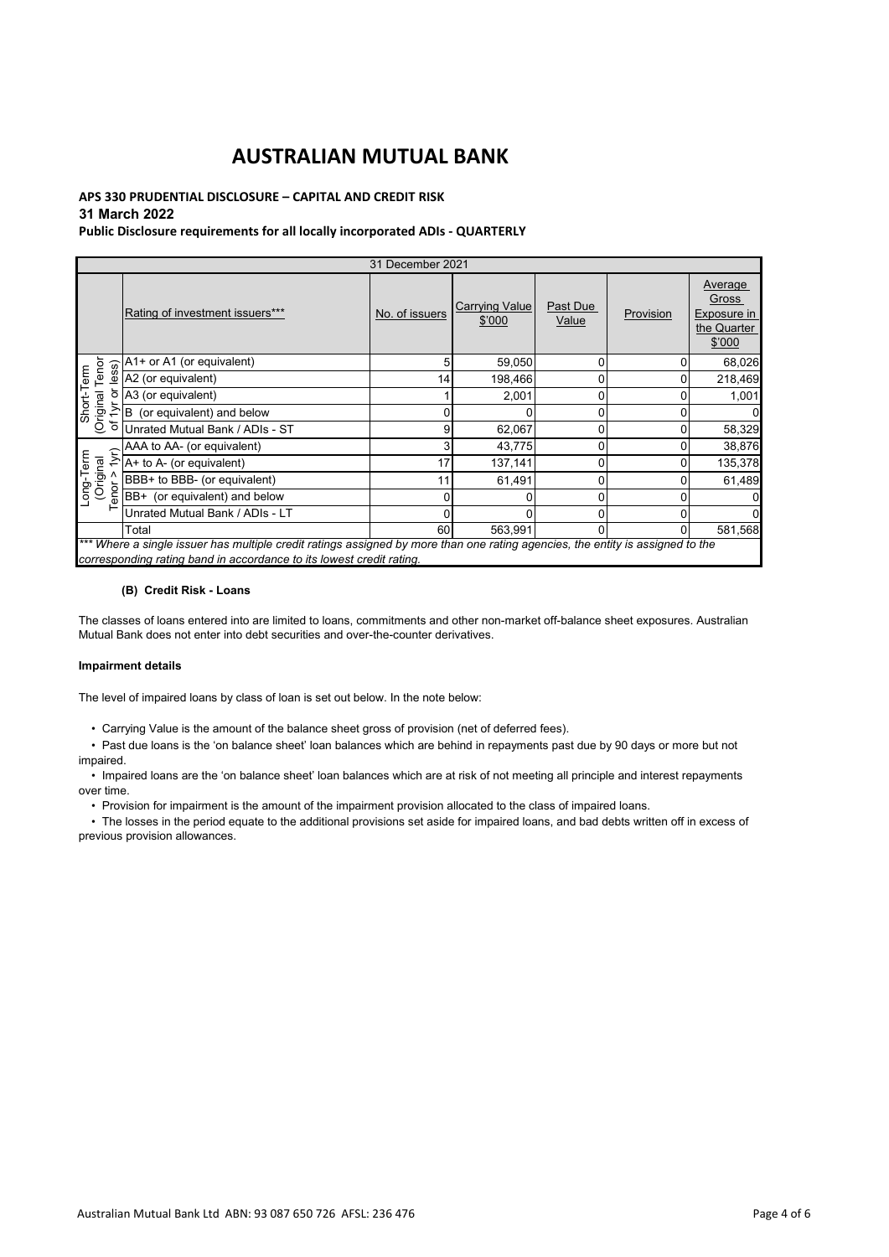## **APS 330 PRUDENTIAL DISCLOSURE – CAPITAL AND CREDIT RISK**

## **31 March 2022**

### **Public Disclosure requirements for all locally incorporated ADIs - QUARTERLY**

| 31 December 2021             |                                                                                                                                                                                                        |                |                                 |                   |           |                                                          |
|------------------------------|--------------------------------------------------------------------------------------------------------------------------------------------------------------------------------------------------------|----------------|---------------------------------|-------------------|-----------|----------------------------------------------------------|
|                              | Rating of investment issuers***                                                                                                                                                                        | No. of issuers | <b>Carrying Value</b><br>\$'000 | Past Due<br>Value | Provision | Average<br>Gross<br>Exposure in<br>the Quarter<br>\$'000 |
| Short-Term<br>Driginal Tenor | $\frac{2}{3}$ $\frac{2}{9}$ $\frac{1}{2}$ $\frac{1}{2}$ (or equivalent)                                                                                                                                | 5              | 59,050                          | 0                 |           | 68,026                                                   |
|                              |                                                                                                                                                                                                        | 14             | 198,466                         | 0                 |           | 218,469                                                  |
| ১                            | A3 (or equivalent)                                                                                                                                                                                     |                | 2,001                           | 0                 |           | 1,001                                                    |
| (Original<br>$\geq$          | B (or equivalent) and below                                                                                                                                                                            | 0              |                                 | 0                 |           |                                                          |
| ৳                            | Unrated Mutual Bank / ADIs - ST                                                                                                                                                                        | 9              | 62,067                          | 0                 | Ω         | 58,329                                                   |
|                              | AAA to AA- (or equivalent)                                                                                                                                                                             | 3              | 43,775                          | 0                 |           | 38,876                                                   |
| 1yr)                         | A+ to A- (or equivalent)                                                                                                                                                                               | 17             | 137,141                         | 0                 |           | 135,378                                                  |
| (Original<br>Coriginal       | BBB+ to BBB- (or equivalent)                                                                                                                                                                           | 11             | 61,491                          | 0                 |           | 61,489                                                   |
| enor                         | BB+ (or equivalent) and below                                                                                                                                                                          | 0              | 0                               | 0                 |           |                                                          |
|                              | Unrated Mutual Bank / ADIs - LT                                                                                                                                                                        | 0              |                                 | 0                 |           |                                                          |
|                              | Total                                                                                                                                                                                                  | 60             | 563,991                         | 0                 | 0         | 581,568                                                  |
|                              | *** Where a single issuer has multiple credit ratings assigned by more than one rating agencies, the entity is assigned to the<br>corresponding rating band in accordance to its lowest credit rating. |                |                                 |                   |           |                                                          |

#### **(B) Credit Risk - Loans**

The classes of loans entered into are limited to loans, commitments and other non-market off-balance sheet exposures. Australian Mutual Bank does not enter into debt securities and over-the-counter derivatives.

#### **Impairment details**

The level of impaired loans by class of loan is set out below. In the note below:

• Carrying Value is the amount of the balance sheet gross of provision (net of deferred fees).

 • Past due loans is the 'on balance sheet' loan balances which are behind in repayments past due by 90 days or more but not impaired.

 • Impaired loans are the 'on balance sheet' loan balances which are at risk of not meeting all principle and interest repayments over time.

• Provision for impairment is the amount of the impairment provision allocated to the class of impaired loans.

 • The losses in the period equate to the additional provisions set aside for impaired loans, and bad debts written off in excess of previous provision allowances.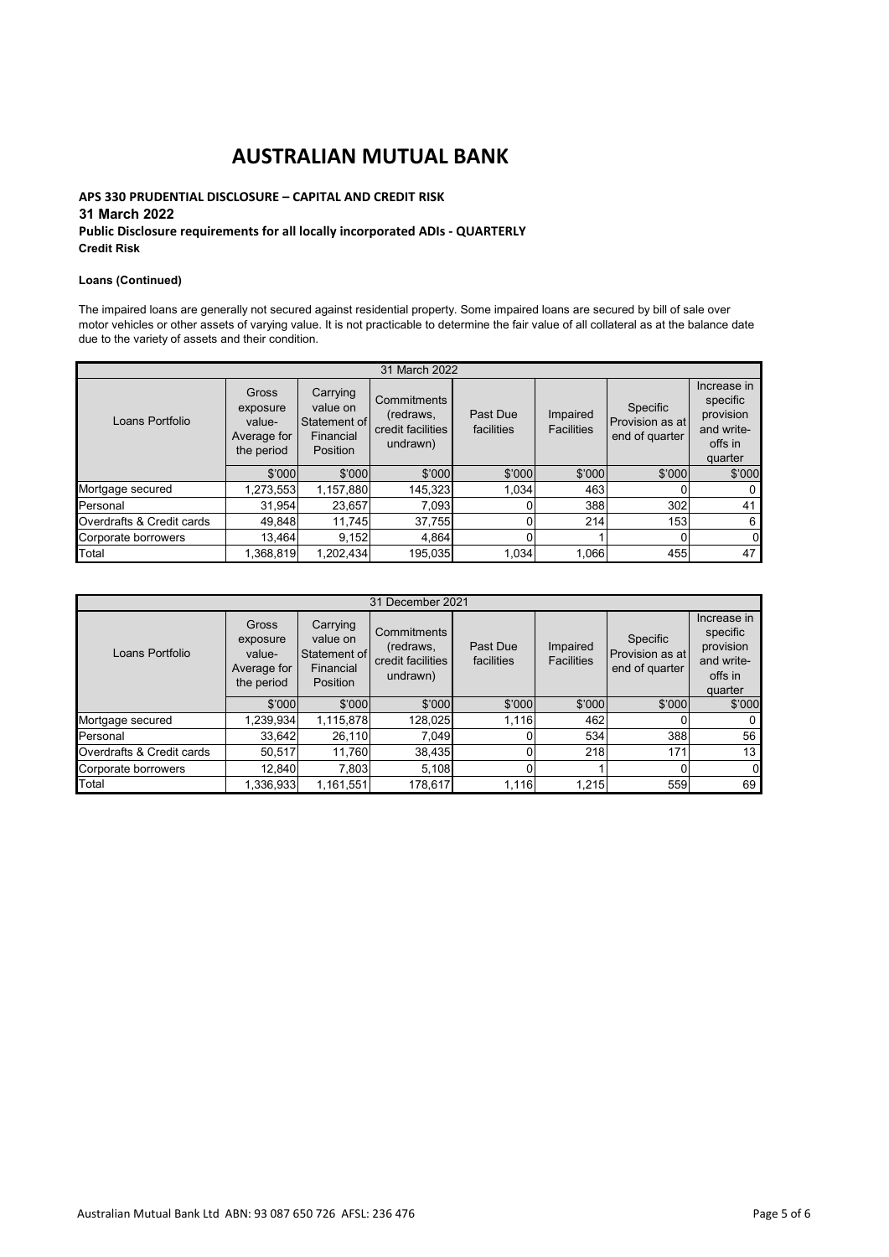### **APS 330 PRUDENTIAL DISCLOSURE – CAPITAL AND CREDIT RISK 31 March 2022 Public Disclosure requirements for all locally incorporated ADIs - QUARTERLY Credit Risk**

#### **Loans (Continued)**

The impaired loans are generally not secured against residential property. Some impaired loans are secured by bill of sale over motor vehicles or other assets of varying value. It is not practicable to determine the fair value of all collateral as at the balance date due to the variety of assets and their condition.

| 31 March 2022             |                                                          |                                                               |                                                           |                        |                               |                                               |                                                                          |
|---------------------------|----------------------------------------------------------|---------------------------------------------------------------|-----------------------------------------------------------|------------------------|-------------------------------|-----------------------------------------------|--------------------------------------------------------------------------|
| Loans Portfolio           | Gross<br>exposure<br>value-<br>Average for<br>the period | Carrying<br>value on<br>Statement of<br>Financial<br>Position | Commitments<br>(redraws,<br>credit facilities<br>undrawn) | Past Due<br>facilities | Impaired<br><b>Facilities</b> | Specific<br>Provision as at<br>end of quarter | Increase in<br>specific<br>provision<br>and write-<br>offs in<br>quarter |
|                           | \$'000                                                   | \$'000                                                        | \$'000                                                    | \$'000                 | \$'000                        | \$'000                                        | \$'000                                                                   |
| Mortgage secured          | 1,273,553                                                | 1,157,880                                                     | 145,323                                                   | 1,034                  | 463                           |                                               | 0                                                                        |
| Personal                  | 31,954                                                   | 23,657                                                        | 7,093                                                     |                        | 388                           | 302                                           | 41                                                                       |
| Overdrafts & Credit cards | 49,848                                                   | 11,745                                                        | 37,755                                                    |                        | 214                           | 153                                           | 6                                                                        |
| Corporate borrowers       | 13.464                                                   | 9,152                                                         | 4,864                                                     |                        |                               | 0                                             | $\Omega$                                                                 |
| Total                     | 1,368,819                                                | 1,202,434                                                     | 195,035                                                   | 1,034                  | 1,066                         | 455                                           | 47                                                                       |

| 31 December 2021          |                                                          |                                                               |                                                           |                        |                               |                                               |                                                                          |
|---------------------------|----------------------------------------------------------|---------------------------------------------------------------|-----------------------------------------------------------|------------------------|-------------------------------|-----------------------------------------------|--------------------------------------------------------------------------|
| Loans Portfolio           | Gross<br>exposure<br>value-<br>Average for<br>the period | Carrying<br>value on<br>Statement of<br>Financial<br>Position | Commitments<br>(redraws,<br>credit facilities<br>undrawn) | Past Due<br>facilities | Impaired<br><b>Facilities</b> | Specific<br>Provision as at<br>end of quarter | Increase in<br>specific<br>provision<br>and write-<br>offs in<br>quarter |
|                           | \$'000                                                   | \$'000                                                        | \$'000                                                    | \$'000                 | \$'000                        | \$'000                                        | \$'000                                                                   |
| Mortgage secured          | 1,239,934                                                | 1,115,878                                                     | 128,025                                                   | 1,116                  | 462                           |                                               | 0                                                                        |
| Personal                  | 33,642                                                   | 26,110                                                        | 7,049                                                     |                        | 534                           | 388                                           | 56                                                                       |
| Overdrafts & Credit cards | 50,517                                                   | 11,760                                                        | 38,435                                                    |                        | 218                           | 171                                           | 13                                                                       |
| Corporate borrowers       | 12.840                                                   | 7,803                                                         | 5,108                                                     |                        |                               |                                               | 0                                                                        |
| Total                     | 1,336,933                                                | 1,161,551                                                     | 178,617                                                   | 1,116                  | 1,215                         | 559                                           | 69                                                                       |